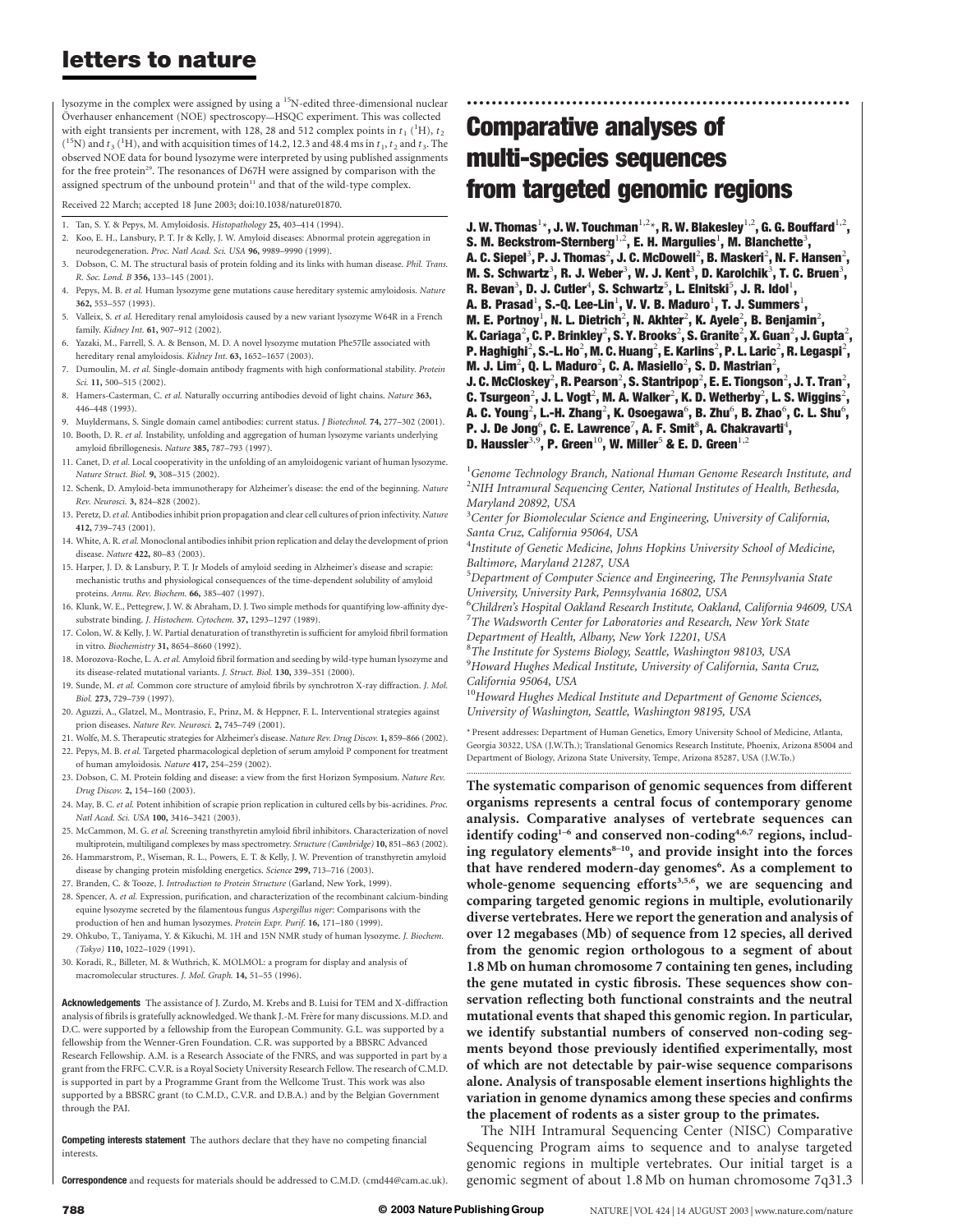lysozyme in the complex were assigned by using a <sup>15</sup>N-edited three-dimensional nuclear Överhauser enhancement (NOE) spectroscopy--HSQC experiment. This was collected with eight transients per increment, with 128, 28 and 512 complex points in  $t_1$  (<sup>1</sup>H),  $t_2$ ( $^{15}$ N) and  $t_3$  ( $^{1}$ H), and with acquisition times of 14.2, 12.3 and 48.4 ms in  $t_1$ ,  $t_2$  and  $t_3$ . The observed NOE data for bound lysozyme were interpreted by using published assignments for the free protein<sup>29</sup>. The resonances of D67H were assigned by comparison with the assigned spectrum of the unbound protein<sup>11</sup> and that of the wild-type complex.

Received 22 March; accepted 18 June 2003; doi:10.1038/nature01870.

- 1. Tan, S. Y. & Pepys, M. Amyloidosis. Histopathology 25, 403–414 (1994).
- 2. Koo, E. H., Lansbury, P. T. Jr & Kelly, J. W. Amyloid diseases: Abnormal protein aggregation in neurodegeneration. Proc. Natl Acad. Sci. USA 96, 9989–9990 (1999).
- 3. Dobson, C. M. The structural basis of protein folding and its links with human disease. Phil. Trans. R. Soc. Lond. B 356, 133–145 (2001).
- 4. Pepys, M. B. et al. Human lysozyme gene mutations cause hereditary systemic amyloidosis. Nature 362, 553–557 (1993).
- 5. Valleix, S. et al. Hereditary renal amyloidosis caused by a new variant lysozyme W64R in a French family. Kidney Int. 61, 907–912 (2002).
- 6. Yazaki, M., Farrell, S. A. & Benson, M. D. A novel lysozyme mutation Phe57Ile associated with hereditary renal amyloidosis. Kidney Int. 63, 1652–1657 (2003).
- 7. Dumoulin, M. et al. Single-domain antibody fragments with high conformational stability. Protein Sci. 11, 500-515 (2002).
- 8. Hamers-Casterman, C. et al. Naturally occurring antibodies devoid of light chains. Nature 363, 446–448 (1993).
- 9. Muyldermans, S. Single domain camel antibodies: current status. *J Biotechnol*. 74, 277-302 (2001). 10. Booth, D. R. et al. Instability, unfolding and aggregation of human lysozyme variants underlying amyloid fibrillogenesis. Nature 385, 787–793 (1997).
- 11. Canet, D. et al. Local cooperativity in the unfolding of an amyloidogenic variant of human lysozyme. Nature Struct. Biol. 9, 308–315 (2002).
- 12. Schenk, D. Amyloid-beta immunotherapy for Alzheimer's disease: the end of the beginning. Nature Rev. Neurosci. 3, 824–828 (2002).
- 13. Peretz, D.et al. Antibodies inhibit prion propagation and clear cell cultures of prion infectivity. Nature 412, 739–743 (2001).
- 14. White, A. R.et al. Monoclonal antibodies inhibit prion replication and delay the development of prion disease. Nature 422, 80–83 (2003).
- 15. Harper, J. D. & Lansbury, P. T. Jr Models of amyloid seeding in Alzheimer's disease and scrapie: mechanistic truths and physiological consequences of the time-dependent solubility of amyloid proteins. Annu. Rev. Biochem. 66, 385–407 (1997).
- 16. Klunk, W. E., Pettegrew, J. W. & Abraham, D. J. Two simple methods for quantifying low-affinity dyesubstrate binding. J. Histochem. Cytochem. 37, 1293–1297 (1989).
- 17. Colon, W. & Kelly, J. W. Partial denaturation of transthyretin is sufficient for amyloid fibril formation in vitro. Biochemistry 31, 8654–8660 (1992).
- 18. Morozova-Roche, L. A. et al. Amyloid fibril formation and seeding by wild-type human lysozyme and its disease-related mutational variants. J. Struct. Biol. 130, 339–351 (2000).
- 19. Sunde, M. et al. Common core structure of amyloid fibrils by synchrotron X-ray diffraction. J. Mol. Biol. 273, 729–739 (1997).
- 20. Aguzzi, A., Glatzel, M., Montrasio, F., Prinz, M. & Heppner, F. L. Interventional strategies against prion diseases. Nature Rev. Neurosci. 2, 745–749 (2001).
- 21. Wolfe, M. S. Therapeutic strategies for Alzheimer's disease. Nature Rev. Drug Discov. 1, 859–866 (2002). 22. Pepys, M. B. et al. Targeted pharmacological depletion of serum amyloid P component for treatment of human amyloidosis. Nature 417, 254–259 (2002).
- 23. Dobson, C. M. Protein folding and disease: a view from the first Horizon Symposium. Nature Rev. Drug Discov. 2, 154–160 (2003).
- 24. May, B. C. et al. Potent inhibition of scrapie prion replication in cultured cells by bis-acridines. Proc. Natl Acad. Sci. USA 100, 3416–3421 (2003).
- 25. McCammon, M. G. et al. Screening transthyretin amyloid fibril inhibitors. Characterization of novel multiprotein, multiligand complexes by mass spectrometry. Structure (Cambridge) 10, 851–863 (2002).
- 26. Hammarstrom, P., Wiseman, R. L., Powers, E. T. & Kelly, J. W. Prevention of transthyretin amyloid disease by changing protein misfolding energetics. Science 299, 713–716 (2003).
- 27. Branden, C. & Tooze, J. Introduction to Protein Structure (Garland, New York, 1999).
- 28. Spencer, A. et al. Expression, purification, and characterization of the recombinant calcium-binding equine lysozyme secreted by the filamentous fungus Aspergillus niger: Comparisons with the production of hen and human lysozymes. Protein Expr. Purif. 16, 171–180 (1999).
- 29. Ohkubo, T., Taniyama, Y. & Kikuchi, M. 1H and 15N NMR study of human lysozyme. J. Biochem. (Tokyo) 110, 1022–1029 (1991).
- 30. Koradi, R., Billeter, M. & Wuthrich, K. MOLMOL: a program for display and analysis of macromolecular structures. J. Mol. Graph. 14, 51–55 (1996).

**Acknowledgements** The assistance of J. Zurdo, M. Krebs and B. Luisi for TEM and X-diffraction analysis of fibrils is gratefully acknowledged. We thank J.-M. Frère for many discussions. M.D. and D.C. were supported by a fellowship from the European Community. G.L. was supported by a fellowship from the Wenner-Gren Foundation. C.R. was supported by a BBSRC Advanced Research Fellowship. A.M. is a Research Associate of the FNRS, and was supported in part by a grant from the FRFC. C.V.R. is a Royal Society University Research Fellow. The research of C.M.D. is supported in part by a Programme Grant from the Wellcome Trust. This work was also supported by a BBSRC grant (to C.M.D., C.V.R. and D.B.A.) and by the Belgian Government through the PAI.

Competing interests statement The authors declare that they have no competing financial interests.

Correspondence and requests for materials should be addressed to C.M.D. (cmd44@cam.ac.uk).

# Comparative analyses of multi-species sequences from targeted genomic regions

J. W. Thomas $^{1\star}$ , J. W. Touchman $^{1,2\star}$ , R. W. Blakesley $^{1,2}$ , G. G. Bouffard $^{1,2}$ ,

..............................................................

- S. M. Beckstrom-Sternberg<sup>1,2</sup>, E. H. Margulies<sup>1</sup>, M. Blanchette<sup>3</sup>,
- A. C. Siepel $^3$ , P. J. Thomas $^2$ , J. C. McDowell $^2$ , B. Maskeri $^2$ , N. F. Hansen $^2$ ,
- M. S. Schwartz<sup>3</sup>, R. J. Weber<sup>3</sup>, W. J. Kent<sup>3</sup>, D. Karolchik<sup>3</sup>, T. C. Bruen<sup>3</sup>,
- R. Bevan<sup>3</sup>, D. J. Cutler<sup>4</sup>, S. Schwartz<sup>5</sup>, L. Elnitski<sup>5</sup>, J. R. Idol<sup>1</sup>,
- A. B. Prasad $^1$ , S.-Q. Lee-Lin $^1$ , V. V. B. Maduro $^1$ , T. J. Summers $^1$ ,
- M. E. Portnoy<sup>1</sup>, N. L. Dietrich<sup>2</sup>, N. Akhter<sup>2</sup>, K. Ayele<sup>2</sup>, B. Benjamin<sup>2</sup>,
- K. Cariaga $^2$ , C. P. Brinkley $^2$ , S. Y. Brooks $^2$ , S. Granite $^2$ , X. Guan $^2$ , J. Gupta $^2$ ,
- P. Haghighi $^2$ , S.-L. Ho $^2$ , M. C. Huang $^2$ , E. Karlins $^2$ , P. L. Laric $^2$ , R. Legaspi $^2$ ,
- M. J. Lim<sup>2</sup>, Q. L. Maduro<sup>2</sup>, C. A. Masiello<sup>2</sup>, S. D. Mastrian<sup>2</sup>,
- J. C. McCloskey $^2$ , R. Pearson $^2$ , S. Stantripop $^2$ , E. E. Tiongson $^2$ , J. T. Tran $^2$ ,
- C. Tsurgeon $^2$ , J. L. Vogt $^2$ , M. A. Walker $^2$ , K. D. Wetherby $^2$ , L. S. Wiggins $^2$ ,
- A. C. Young $^2$ , L.-H. Zhang $^2$ , K. Osoegawa $^6$ , B. Zhu $^6$ , B. Zhao $^6$ , C. L. Shu $^6$ ,
- P. J. De Jong $^6$ , C. E. Lawrence<sup>7</sup>, A. F. Smit $^8$ , A. Chakravarti $^4$ ,
- D. Haussler<sup>3,9</sup>, P. Green<sup>10</sup>, W. Miller<sup>5</sup> & E. D. Green<sup>1,2</sup>

 $^1$ Genome Technology Branch, National Human Genome Research Institute, and <sup>2</sup>NIH Intramural Sequencing Center, National Institutes of Health, Bethesda, Maryland 20892, USA

<sup>3</sup> Center for Biomolecular Science and Engineering, University of California, Santa Cruz, California 95064, USA

<sup>4</sup>Institute of Genetic Medicine, Johns Hopkins University School of Medicine, Baltimore, Maryland 21287, USA

<sup>5</sup>Department of Computer Science and Engineering, The Pennsylvania State University, University Park, Pennsylvania 16802, USA

6 Children's Hospital Oakland Research Institute, Oakland, California 94609, USA  $7$ The Wadsworth Center for Laboratories and Research, New York State

Department of Health, Albany, New York 12201, USA <sup>8</sup>The Institute for Systems Biology, Seattle, Washington 98103, USA

<sup>9</sup>Howard Hughes Medical Institute, University of California, Santa Cruz, California 95064, USA

 $10$ Howard Hughes Medical Institute and Department of Genome Sciences, University of Washington, Seattle, Washington 98195, USA

\* Present addresses: Department of Human Genetics, Emory University School of Medicine, Atlanta, Georgia 30322, USA (J.W.Th.); Translational Genomics Research Institute, Phoenix, Arizona 85004 and Department of Biology, Arizona State University, Tempe, Arizona 85287, USA (J.W.To.) .............................................................................................................................................................................

The systematic comparison of genomic sequences from different organisms represents a central focus of contemporary genome analysis. Comparative analyses of vertebrate sequences can identify coding<sup>1-6</sup> and conserved non-coding<sup>4,6,7</sup> regions, including regulatory elements<sup>8-10</sup>, and provide insight into the forces that have rendered modern-day genomes<sup>6</sup>. As a complement to whole-genome sequencing efforts $3,5,6$ , we are sequencing and comparing targeted genomic regions in multiple, evolutionarily diverse vertebrates. Here we report the generation and analysis of over 12 megabases (Mb) of sequence from 12 species, all derived from the genomic region orthologous to a segment of about 1.8 Mb on human chromosome 7 containing ten genes, including the gene mutated in cystic fibrosis. These sequences show conservation reflecting both functional constraints and the neutral mutational events that shaped this genomic region. In particular, we identify substantial numbers of conserved non-coding segments beyond those previously identified experimentally, most of which are not detectable by pair-wise sequence comparisons alone. Analysis of transposable element insertions highlights the variation in genome dynamics among these species and confirms the placement of rodents as a sister group to the primates.

The NIH Intramural Sequencing Center (NISC) Comparative Sequencing Program aims to sequence and to analyse targeted genomic regions in multiple vertebrates. Our initial target is a genomic segment of about 1.8 Mb on human chromosome 7q31.3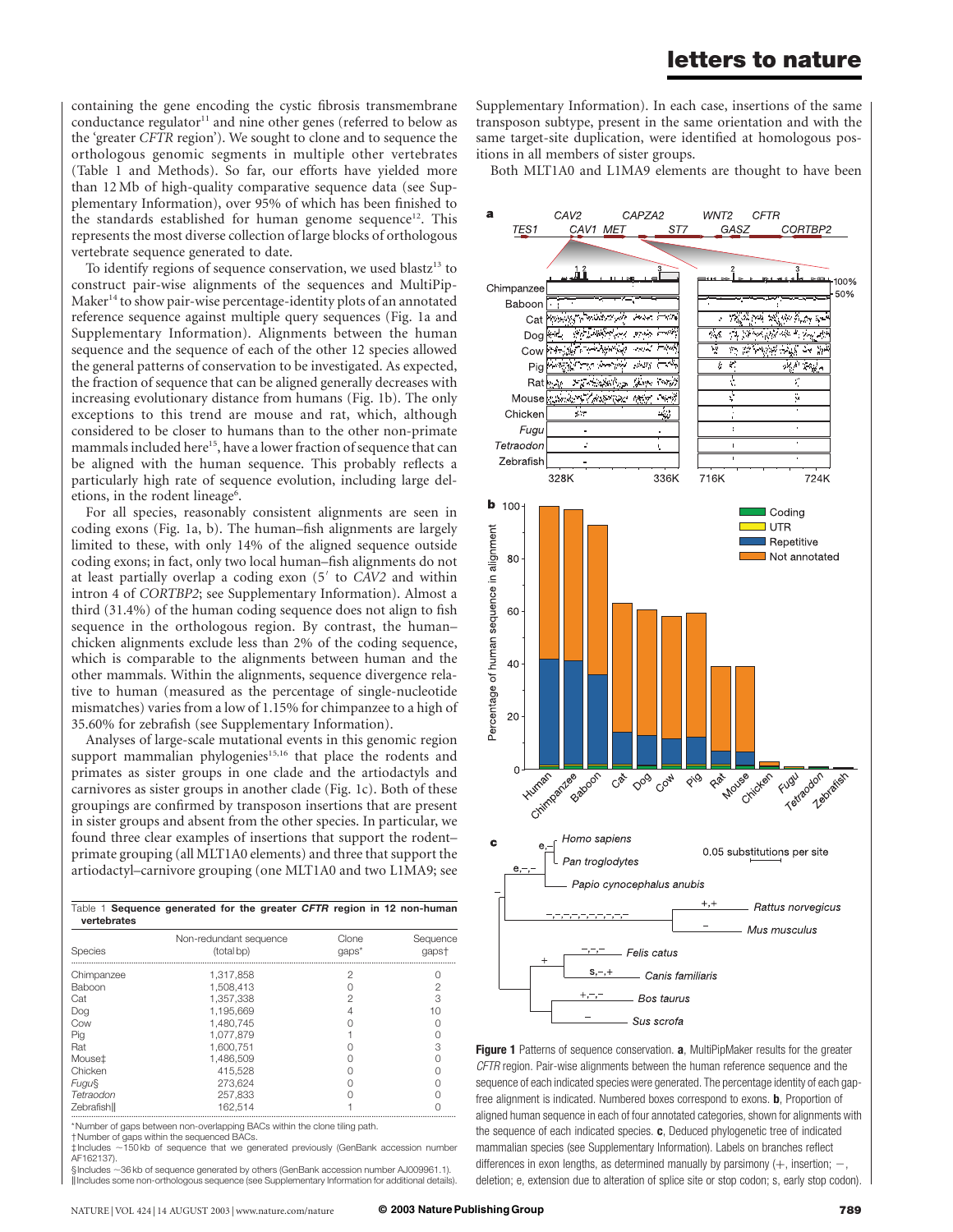containing the gene encoding the cystic fibrosis transmembrane conductance regulator $11$  and nine other genes (referred to below as the 'greater CFTR region'). We sought to clone and to sequence the orthologous genomic segments in multiple other vertebrates (Table 1 and Methods). So far, our efforts have yielded more than 12 Mb of high-quality comparative sequence data (see Supplementary Information), over 95% of which has been finished to the standards established for human genome sequence<sup>12</sup>. This represents the most diverse collection of large blocks of orthologous vertebrate sequence generated to date.

To identify regions of sequence conservation, we used blastz<sup>13</sup> to construct pair-wise alignments of the sequences and MultiPip-Maker<sup>14</sup> to show pair-wise percentage-identity plots of an annotated reference sequence against multiple query sequences (Fig. 1a and Supplementary Information). Alignments between the human sequence and the sequence of each of the other 12 species allowed the general patterns of conservation to be investigated. As expected, the fraction of sequence that can be aligned generally decreases with increasing evolutionary distance from humans (Fig. 1b). The only exceptions to this trend are mouse and rat, which, although considered to be closer to humans than to the other non-primate mammals included here<sup>15</sup>, have a lower fraction of sequence that can be aligned with the human sequence. This probably reflects a particularly high rate of sequence evolution, including large deletions, in the rodent lineage<sup>6</sup>.

For all species, reasonably consistent alignments are seen in coding exons (Fig. 1a, b). The human–fish alignments are largely limited to these, with only 14% of the aligned sequence outside coding exons; in fact, only two local human–fish alignments do not at least partially overlap a coding exon  $(5<sup>′</sup>$  to CAV2 and within intron 4 of CORTBP2; see Supplementary Information). Almost a third (31.4%) of the human coding sequence does not align to fish sequence in the orthologous region. By contrast, the human– chicken alignments exclude less than 2% of the coding sequence, which is comparable to the alignments between human and the other mammals. Within the alignments, sequence divergence relative to human (measured as the percentage of single-nucleotide mismatches) varies from a low of 1.15% for chimpanzee to a high of 35.60% for zebrafish (see Supplementary Information).

Analyses of large-scale mutational events in this genomic region support mammalian phylogenies<sup>15,16</sup> that place the rodents and primates as sister groups in one clade and the artiodactyls and carnivores as sister groups in another clade (Fig. 1c). Both of these groupings are confirmed by transposon insertions that are present in sister groups and absent from the other species. In particular, we found three clear examples of insertions that support the rodent– primate grouping (all MLT1A0 elements) and three that support the artiodactyl–carnivore grouping (one MLT1A0 and two L1MA9; see

Table 1 Sequence generated for the greater CFTR region in 12 non-human

| $i$ able $j$ bequence generated for the greater CPTR region in 12 non-numant<br>vertebrates |                                      |                      |                   |
|---------------------------------------------------------------------------------------------|--------------------------------------|----------------------|-------------------|
| Species                                                                                     | Non-redundant sequence<br>(total bp) | Clone<br>$q$ aps $*$ | Sequence<br>qapst |
| Chimpanzee                                                                                  | 1.317.858                            | 2                    |                   |
| Baboon                                                                                      | 1.508.413                            | Ω                    |                   |
| Cat                                                                                         | 1.357.338                            | 2                    | 3                 |
| Dog                                                                                         | 1.195.669                            | 4                    | 10                |
| Cow                                                                                         | 1.480.745                            |                      |                   |
| Pig                                                                                         | 1.077.879                            |                      |                   |
| Rat                                                                                         | 1.600.751                            |                      |                   |
| Mouse <sup>±</sup>                                                                          | 1.486.509                            |                      |                   |
| Chicken                                                                                     | 415,528                              |                      |                   |
| <b>Fugu</b>                                                                                 | 273.624                              |                      |                   |
| Tetraodon                                                                                   | 257.833                              |                      |                   |
| Zebrafish                                                                                   | 162.514                              |                      |                   |

\*Number of gaps between non-overlapping BACs within the clone tiling path.

†Number of gaps within the sequenced BACs.

‡Includes ,150 kb of sequence that we generated previously (GenBank accession number AF162137). §Includes ~36 kb of sequence generated by others (GenBank accession number AJ009961.1).

kIncludes some non-orthologous sequence (see Supplementary Information for additional details).

Supplementary Information). In each case, insertions of the same transposon subtype, present in the same orientation and with the same target-site duplication, were identified at homologous positions in all members of sister groups.

Both MLT1A0 and L1MA9 elements are thought to have been



Figure 1 Patterns of sequence conservation. a, MultiPipMaker results for the greater CFTR region. Pair-wise alignments between the human reference sequence and the sequence of each indicated species were generated. The percentage identity of each gapfree alignment is indicated. Numbered boxes correspond to exons. b, Proportion of aligned human sequence in each of four annotated categories, shown for alignments with the sequence of each indicated species.  $c$ , Deduced phylogenetic tree of indicated mammalian species (see Supplementary Information). Labels on branches reflect differences in exon lengths, as determined manually by parsimony  $(+)$ , insertion;  $$ deletion; e, extension due to alteration of splice site or stop codon; s, early stop codon).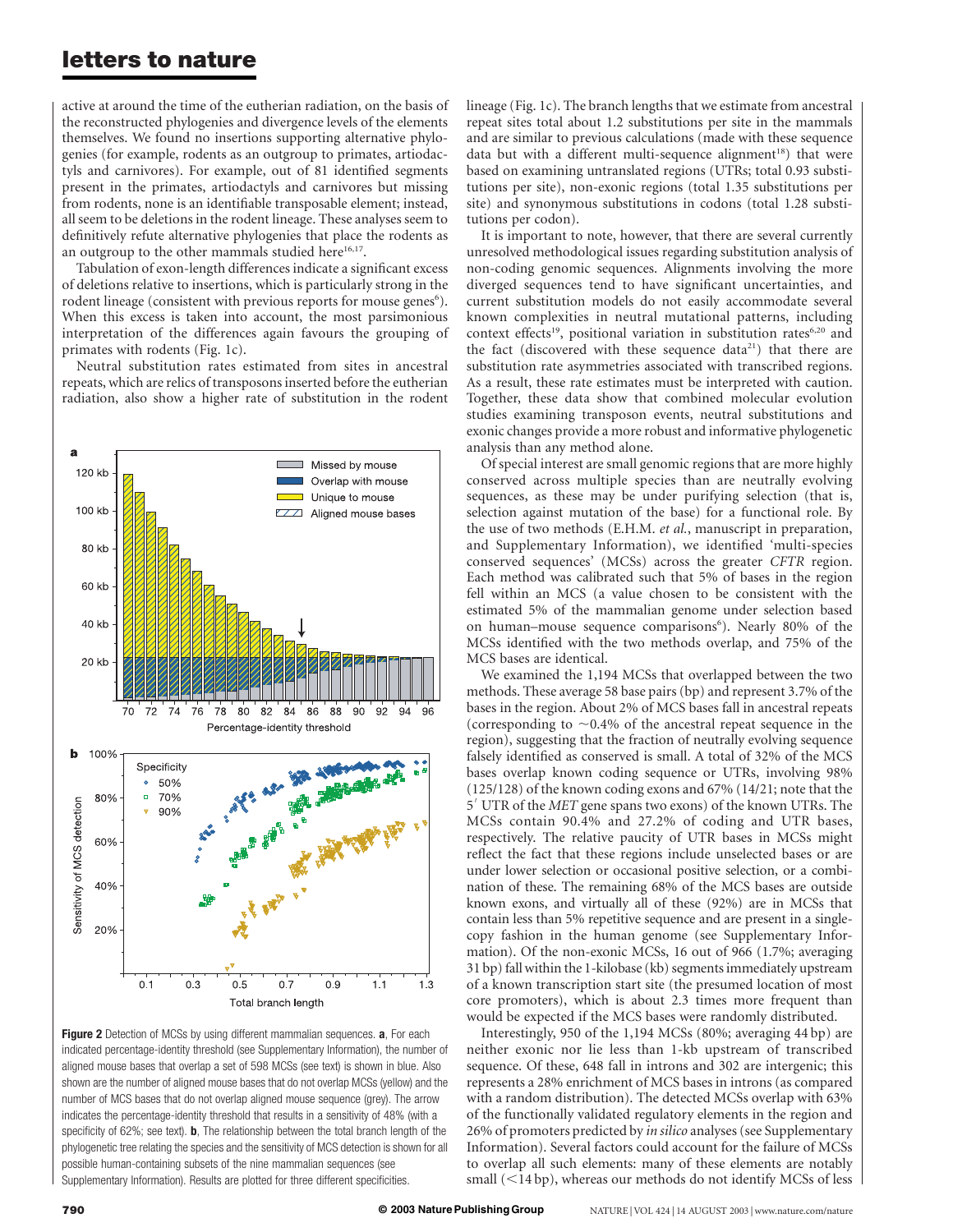active at around the time of the eutherian radiation, on the basis of the reconstructed phylogenies and divergence levels of the elements themselves. We found no insertions supporting alternative phylogenies (for example, rodents as an outgroup to primates, artiodactyls and carnivores). For example, out of 81 identified segments present in the primates, artiodactyls and carnivores but missing from rodents, none is an identifiable transposable element; instead, all seem to be deletions in the rodent lineage. These analyses seem to definitively refute alternative phylogenies that place the rodents as an outgroup to the other mammals studied here<sup>16,17</sup>.

Tabulation of exon-length differences indicate a significant excess of deletions relative to insertions, which is particularly strong in the rodent lineage (consistent with previous reports for mouse genes<sup>6</sup>). When this excess is taken into account, the most parsimonious interpretation of the differences again favours the grouping of primates with rodents (Fig. 1c).

Neutral substitution rates estimated from sites in ancestral repeats, which are relics of transposons inserted before the eutherian radiation, also show a higher rate of substitution in the rodent



Figure 2 Detection of MCSs by using different mammalian sequences. a, For each indicated percentage-identity threshold (see Supplementary Information), the number of aligned mouse bases that overlap a set of 598 MCSs (see text) is shown in blue. Also shown are the number of aligned mouse bases that do not overlap MCSs (yellow) and the number of MCS bases that do not overlap aligned mouse sequence (grey). The arrow indicates the percentage-identity threshold that results in a sensitivity of 48% (with a specificity of 62%; see text). **b**, The relationship between the total branch length of the phylogenetic tree relating the species and the sensitivity of MCS detection is shown for all possible human-containing subsets of the nine mammalian sequences (see Supplementary Information). Results are plotted for three different specificities.

lineage (Fig. 1c). The branch lengths that we estimate from ancestral repeat sites total about 1.2 substitutions per site in the mammals and are similar to previous calculations (made with these sequence data but with a different multi-sequence alignment<sup>18</sup>) that were based on examining untranslated regions (UTRs; total 0.93 substitutions per site), non-exonic regions (total 1.35 substitutions per site) and synonymous substitutions in codons (total 1.28 substitutions per codon).

It is important to note, however, that there are several currently unresolved methodological issues regarding substitution analysis of non-coding genomic sequences. Alignments involving the more diverged sequences tend to have significant uncertainties, and current substitution models do not easily accommodate several known complexities in neutral mutational patterns, including context effects<sup>19</sup>, positional variation in substitution rates<sup>6,20</sup> and the fact (discovered with these sequence data<sup>21</sup>) that there are substitution rate asymmetries associated with transcribed regions. As a result, these rate estimates must be interpreted with caution. Together, these data show that combined molecular evolution studies examining transposon events, neutral substitutions and exonic changes provide a more robust and informative phylogenetic analysis than any method alone.

Of special interest are small genomic regions that are more highly conserved across multiple species than are neutrally evolving sequences, as these may be under purifying selection (that is, selection against mutation of the base) for a functional role. By the use of two methods (E.H.M. et al., manuscript in preparation, and Supplementary Information), we identified 'multi-species conserved sequences' (MCSs) across the greater CFTR region. Each method was calibrated such that 5% of bases in the region fell within an MCS (a value chosen to be consistent with the estimated 5% of the mammalian genome under selection based on human-mouse sequence comparisons<sup>6</sup>). Nearly 80% of the MCSs identified with the two methods overlap, and 75% of the MCS bases are identical.

We examined the 1,194 MCSs that overlapped between the two methods. These average 58 base pairs (bp) and represent 3.7% of the bases in the region. About 2% of MCS bases fall in ancestral repeats (corresponding to  $\sim$ 0.4% of the ancestral repeat sequence in the region), suggesting that the fraction of neutrally evolving sequence falsely identified as conserved is small. A total of 32% of the MCS bases overlap known coding sequence or UTRs, involving 98% (125/128) of the known coding exons and 67% (14/21; note that the 5' UTR of the MET gene spans two exons) of the known UTRs. The MCSs contain 90.4% and 27.2% of coding and UTR bases, respectively. The relative paucity of UTR bases in MCSs might reflect the fact that these regions include unselected bases or are under lower selection or occasional positive selection, or a combination of these. The remaining 68% of the MCS bases are outside known exons, and virtually all of these (92%) are in MCSs that contain less than 5% repetitive sequence and are present in a singlecopy fashion in the human genome (see Supplementary Information). Of the non-exonic MCSs, 16 out of 966 (1.7%; averaging 31 bp) fall within the 1-kilobase (kb) segments immediately upstream of a known transcription start site (the presumed location of most core promoters), which is about 2.3 times more frequent than would be expected if the MCS bases were randomly distributed.

Interestingly, 950 of the 1,194 MCSs (80%; averaging 44 bp) are neither exonic nor lie less than 1-kb upstream of transcribed sequence. Of these, 648 fall in introns and 302 are intergenic; this represents a 28% enrichment of MCS bases in introns (as compared with a random distribution). The detected MCSs overlap with 63% of the functionally validated regulatory elements in the region and 26% of promoters predicted by in silico analyses (see Supplementary Information). Several factors could account for the failure of MCSs to overlap all such elements: many of these elements are notably small  $(<14 bp)$ , whereas our methods do not identify MCSs of less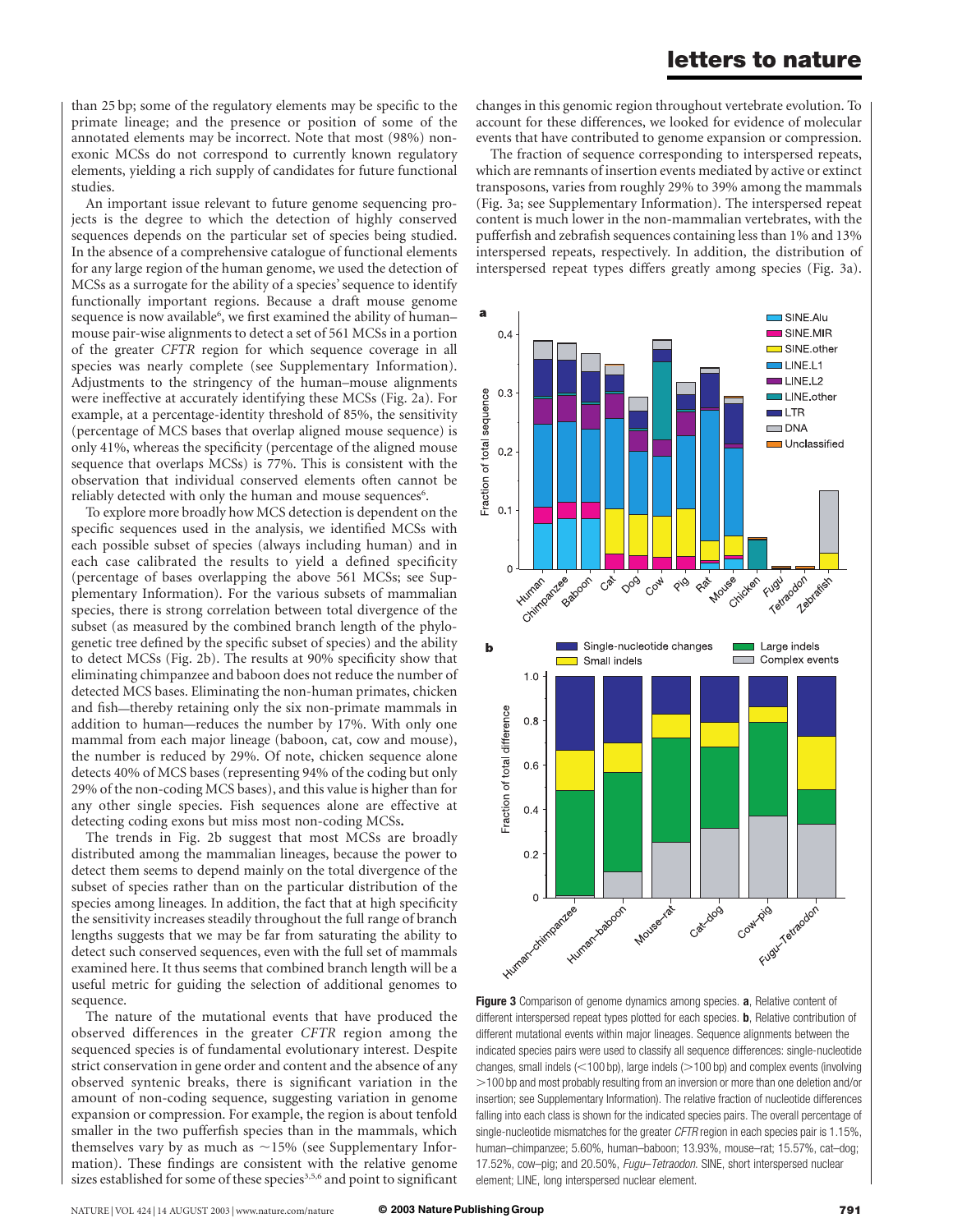than 25 bp; some of the regulatory elements may be specific to the primate lineage; and the presence or position of some of the annotated elements may be incorrect. Note that most (98%) nonexonic MCSs do not correspond to currently known regulatory elements, yielding a rich supply of candidates for future functional studies.

An important issue relevant to future genome sequencing projects is the degree to which the detection of highly conserved sequences depends on the particular set of species being studied. In the absence of a comprehensive catalogue of functional elements for any large region of the human genome, we used the detection of MCSs as a surrogate for the ability of a species' sequence to identify functionally important regions. Because a draft mouse genome sequence is now available<sup>6</sup>, we first examined the ability of humanmouse pair-wise alignments to detect a set of 561 MCSs in a portion of the greater CFTR region for which sequence coverage in all species was nearly complete (see Supplementary Information). Adjustments to the stringency of the human–mouse alignments were ineffective at accurately identifying these MCSs (Fig. 2a). For example, at a percentage-identity threshold of 85%, the sensitivity (percentage of MCS bases that overlap aligned mouse sequence) is only 41%, whereas the specificity (percentage of the aligned mouse sequence that overlaps MCSs) is 77%. This is consistent with the observation that individual conserved elements often cannot be reliably detected with only the human and mouse sequences<sup>6</sup>.

To explore more broadly how MCS detection is dependent on the specific sequences used in the analysis, we identified MCSs with each possible subset of species (always including human) and in each case calibrated the results to yield a defined specificity (percentage of bases overlapping the above 561 MCSs; see Supplementary Information). For the various subsets of mammalian species, there is strong correlation between total divergence of the subset (as measured by the combined branch length of the phylogenetic tree defined by the specific subset of species) and the ability to detect MCSs (Fig. 2b). The results at 90% specificity show that eliminating chimpanzee and baboon does not reduce the number of detected MCS bases. Eliminating the non-human primates, chicken and fish—thereby retaining only the six non-primate mammals in addition to human—reduces the number by 17%. With only one mammal from each major lineage (baboon, cat, cow and mouse), the number is reduced by 29%. Of note, chicken sequence alone detects 40% of MCS bases (representing 94% of the coding but only 29% of the non-coding MCS bases), and this value is higher than for any other single species. Fish sequences alone are effective at detecting coding exons but miss most non-coding MCSs.

The trends in Fig. 2b suggest that most MCSs are broadly distributed among the mammalian lineages, because the power to detect them seems to depend mainly on the total divergence of the subset of species rather than on the particular distribution of the species among lineages. In addition, the fact that at high specificity the sensitivity increases steadily throughout the full range of branch lengths suggests that we may be far from saturating the ability to detect such conserved sequences, even with the full set of mammals examined here. It thus seems that combined branch length will be a useful metric for guiding the selection of additional genomes to sequence.

The nature of the mutational events that have produced the observed differences in the greater CFTR region among the sequenced species is of fundamental evolutionary interest. Despite strict conservation in gene order and content and the absence of any observed syntenic breaks, there is significant variation in the amount of non-coding sequence, suggesting variation in genome expansion or compression. For example, the region is about tenfold smaller in the two pufferfish species than in the mammals, which themselves vary by as much as  $\sim$ 15% (see Supplementary Information). These findings are consistent with the relative genome sizes established for some of these species<sup>3,5,6</sup> and point to significant

changes in this genomic region throughout vertebrate evolution. To account for these differences, we looked for evidence of molecular events that have contributed to genome expansion or compression.

The fraction of sequence corresponding to interspersed repeats, which are remnants of insertion events mediated by active or extinct transposons, varies from roughly 29% to 39% among the mammals (Fig. 3a; see Supplementary Information). The interspersed repeat content is much lower in the non-mammalian vertebrates, with the pufferfish and zebrafish sequences containing less than 1% and 13% interspersed repeats, respectively. In addition, the distribution of interspersed repeat types differs greatly among species (Fig. 3a).



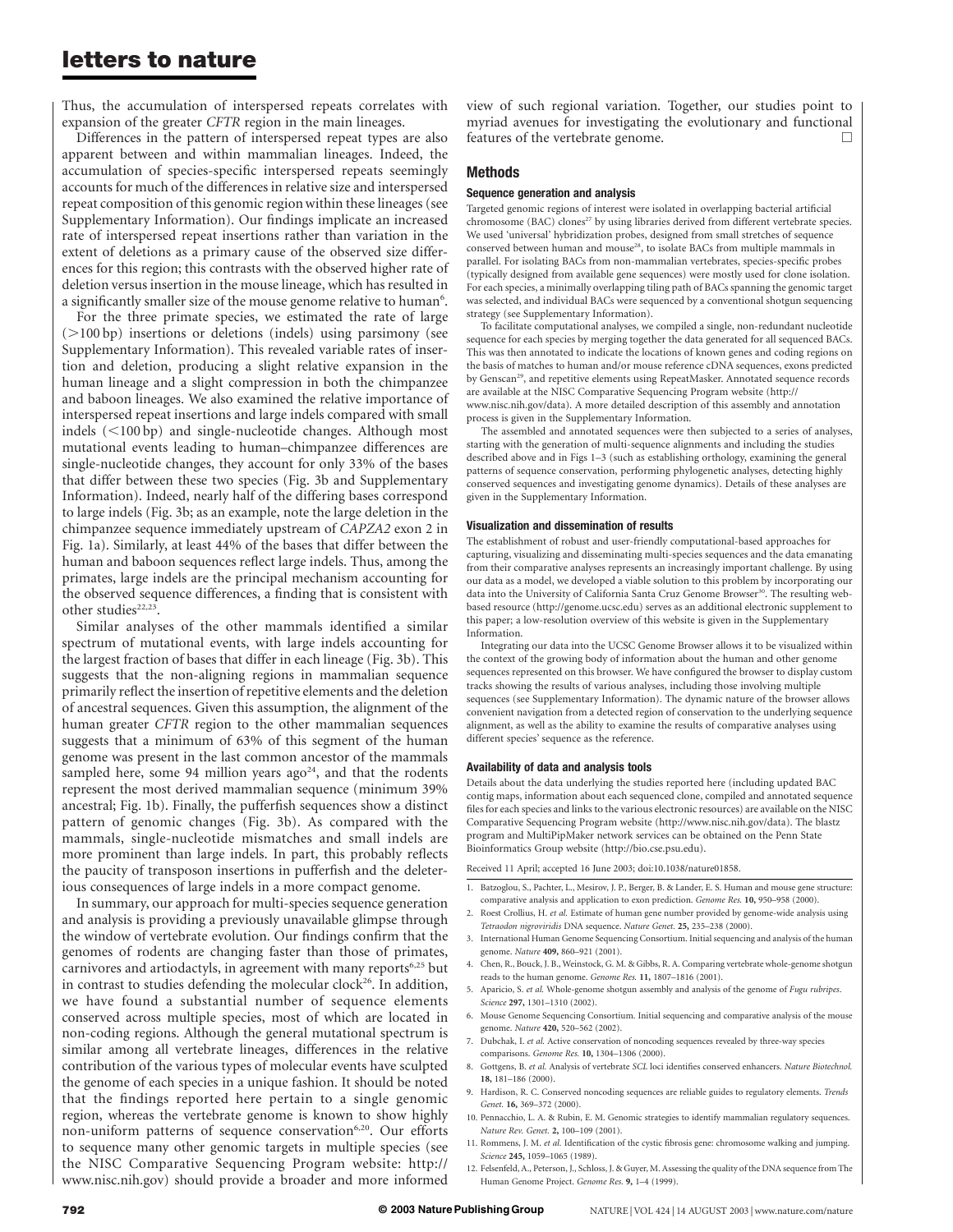Thus, the accumulation of interspersed repeats correlates with expansion of the greater CFTR region in the main lineages.

Differences in the pattern of interspersed repeat types are also apparent between and within mammalian lineages. Indeed, the accumulation of species-specific interspersed repeats seemingly accounts for much of the differences in relative size and interspersed repeat composition of this genomic region within these lineages (see Supplementary Information). Our findings implicate an increased rate of interspersed repeat insertions rather than variation in the extent of deletions as a primary cause of the observed size differences for this region; this contrasts with the observed higher rate of deletion versus insertion in the mouse lineage, which has resulted in a significantly smaller size of the mouse genome relative to human<sup>6</sup>.

For the three primate species, we estimated the rate of large (.100 bp) insertions or deletions (indels) using parsimony (see Supplementary Information). This revealed variable rates of insertion and deletion, producing a slight relative expansion in the human lineage and a slight compression in both the chimpanzee and baboon lineages. We also examined the relative importance of interspersed repeat insertions and large indels compared with small indels  $(<100 bp)$  and single-nucleotide changes. Although most mutational events leading to human–chimpanzee differences are single-nucleotide changes, they account for only 33% of the bases that differ between these two species (Fig. 3b and Supplementary Information). Indeed, nearly half of the differing bases correspond to large indels (Fig. 3b; as an example, note the large deletion in the chimpanzee sequence immediately upstream of CAPZA2 exon 2 in Fig. 1a). Similarly, at least 44% of the bases that differ between the human and baboon sequences reflect large indels. Thus, among the primates, large indels are the principal mechanism accounting for the observed sequence differences, a finding that is consistent with other studies<sup>22,23</sup>.

Similar analyses of the other mammals identified a similar spectrum of mutational events, with large indels accounting for the largest fraction of bases that differ in each lineage (Fig. 3b). This suggests that the non-aligning regions in mammalian sequence primarily reflect the insertion of repetitive elements and the deletion of ancestral sequences. Given this assumption, the alignment of the human greater CFTR region to the other mammalian sequences suggests that a minimum of 63% of this segment of the human genome was present in the last common ancestor of the mammals sampled here, some 94 million years ago<sup>24</sup>, and that the rodents represent the most derived mammalian sequence (minimum 39% ancestral; Fig. 1b). Finally, the pufferfish sequences show a distinct pattern of genomic changes (Fig. 3b). As compared with the mammals, single-nucleotide mismatches and small indels are more prominent than large indels. In part, this probably reflects the paucity of transposon insertions in pufferfish and the deleterious consequences of large indels in a more compact genome.

In summary, our approach for multi-species sequence generation and analysis is providing a previously unavailable glimpse through the window of vertebrate evolution. Our findings confirm that the genomes of rodents are changing faster than those of primates, carnivores and artiodactyls, in agreement with many reports<sup>6,25</sup> but in contrast to studies defending the molecular clock<sup>26</sup>. In addition, we have found a substantial number of sequence elements conserved across multiple species, most of which are located in non-coding regions. Although the general mutational spectrum is similar among all vertebrate lineages, differences in the relative contribution of the various types of molecular events have sculpted the genome of each species in a unique fashion. It should be noted that the findings reported here pertain to a single genomic region, whereas the vertebrate genome is known to show highly non-uniform patterns of sequence conservation<sup>6,20</sup>. Our efforts to sequence many other genomic targets in multiple species (see the NISC Comparative Sequencing Program website: http:// www.nisc.nih.gov) should provide a broader and more informed

view of such regional variation. Together, our studies point to myriad avenues for investigating the evolutionary and functional features of the vertebrate genome.

#### Methods

#### Sequence generation and analysis

Targeted genomic regions of interest were isolated in overlapping bacterial artificial chromosome (BAC) clones<sup>27</sup> by using libraries derived from different vertebrate species. We used 'universal' hybridization probes, designed from small stretches of sequence conserved between human and mouse<sup>28</sup>, to isolate BACs from multiple mammals in parallel. For isolating BACs from non-mammalian vertebrates, species-specific probes (typically designed from available gene sequences) were mostly used for clone isolation. For each species, a minimally overlapping tiling path of BACs spanning the genomic target was selected, and individual BACs were sequenced by a conventional shotgun sequencing strategy (see Supplementary Information).

To facilitate computational analyses, we compiled a single, non-redundant nucleotide sequence for each species by merging together the data generated for all sequenced BACs. This was then annotated to indicate the locations of known genes and coding regions on the basis of matches to human and/or mouse reference cDNA sequences, exons predicted by Genscan<sup>29</sup>, and repetitive elements using RepeatMasker. Annotated sequence records are available at the NISC Comparative Sequencing Program website (http:// www.nisc.nih.gov/data). A more detailed description of this assembly and annotation process is given in the Supplementary Information.

The assembled and annotated sequences were then subjected to a series of analyses, starting with the generation of multi-sequence alignments and including the studies described above and in Figs 1–3 (such as establishing orthology, examining the general patterns of sequence conservation, performing phylogenetic analyses, detecting highly conserved sequences and investigating genome dynamics). Details of these analyses are given in the Supplementary Information.

#### Visualization and dissemination of results

The establishment of robust and user-friendly computational-based approaches for capturing, visualizing and disseminating multi-species sequences and the data emanating from their comparative analyses represents an increasingly important challenge. By using our data as a model, we developed a viable solution to this problem by incorporating our data into the University of California Santa Cruz Genome Browser<sup>30</sup>. The resulting webbased resource (http://genome.ucsc.edu) serves as an additional electronic supplement to this paper; a low-resolution overview of this website is given in the Supplementary Information.

Integrating our data into the UCSC Genome Browser allows it to be visualized within the context of the growing body of information about the human and other genome sequences represented on this browser. We have configured the browser to display custom tracks showing the results of various analyses, including those involving multiple sequences (see Supplementary Information). The dynamic nature of the browser allows convenient navigation from a detected region of conservation to the underlying sequence alignment, as well as the ability to examine the results of comparative analyses using different species' sequence as the reference.

#### Availability of data and analysis tools

Details about the data underlying the studies reported here (including updated BAC contig maps, information about each sequenced clone, compiled and annotated sequence files for each species and links to the various electronic resources) are available on the NISC Comparative Sequencing Program website (http://www.nisc.nih.gov/data). The blastz program and MultiPipMaker network services can be obtained on the Penn State Bioinformatics Group website (http://bio.cse.psu.edu).

Received 11 April; accepted 16 June 2003; doi:10.1038/nature01858.

- 1. Batzoglou, S., Pachter, L., Mesirov, J. P., Berger, B. & Lander, E. S. Human and mouse gene structure: comparative analysis and application to exon prediction. Genome Res. 10, 950–958 (2000).
- 2. Roest Crollius, H. et al. Estimate of human gene number provided by genome-wide analysis using Tetraodon nigroviridis DNA sequence. Nature Genet. 25, 235–238 (2000).
- 3. International Human Genome Sequencing Consortium. Initial sequencing and analysis of the human genome. Nature 409, 860-921 (2001).
- 4. Chen, R., Bouck, J. B., Weinstock, G. M. & Gibbs, R. A. Comparing vertebrate whole-genome shotgun reads to the human genome. Genome Res. 11, 1807-1816 (2001)
- 5. Aparicio, S. et al. Whole-genome shotgun assembly and analysis of the genome of Fugu rubripes. Science 297, 1301–1310 (2002).
- 6. Mouse Genome Sequencing Consortium. Initial sequencing and comparative analysis of the mouse genome. Nature 420, 520–562 (2002).
- 7. Dubchak, I. et al. Active conservation of noncoding sequences revealed by three-way species comparisons. Genome Res. 10, 1304–1306 (2000).
- 8. Gottgens, B. et al. Analysis of vertebrate SCL loci identifies conserved enhancers. Nature Biotechnol. 18, 181–186 (2000).
- 9. Hardison, R. C. Conserved noncoding sequences are reliable guides to regulatory elements. Trends Genet. 16, 369–372 (2000).
- 10. Pennacchio, L. A. & Rubin, E. M. Genomic strategies to identify mammalian regulatory sequences. Nature Rev. Genet. 2, 100–109 (2001).
- 11. Rommens, J. M. et al. Identification of the cystic fibrosis gene: chromosome walking and jumping. Science 245, 1059–1065 (1989).
- 12. Felsenfeld, A., Peterson, J., Schloss, J. & Guyer, M. Assessing the quality of the DNA sequence from The Human Genome Project. Genome Res. 9, 1–4 (1999).